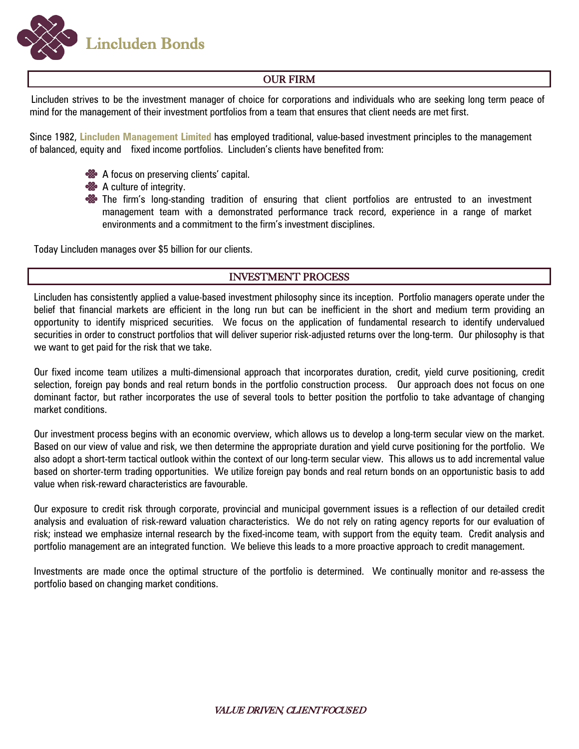**Lincluden Bonds** 

## OUR FIRM

Lincluden strives to be the investment manager of choice for corporations and individuals who are seeking long term peace of mind for the management of their investment portfolios from a team that ensures that client needs are met first.

Since 1982, **Lincluden Management Limited** has employed traditional, value-based investment principles to the management of balanced, equity and fixed income portfolios. Lincluden's clients have benefited from:

- **<sup>88</sup>** A focus on preserving clients' capital.
- **&** A culture of integrity.
- **So** The firm's long-standing tradition of ensuring that client portfolios are entrusted to an investment management team with a demonstrated performance track record, experience in a range of market environments and a commitment to the firm's investment disciplines.

Today Lincluden manages over \$5 billion for our clients.

## INVESTMENT PROCESS

Lincluden has consistently applied a value-based investment philosophy since its inception. Portfolio managers operate under the belief that financial markets are efficient in the long run but can be inefficient in the short and medium term providing an opportunity to identify mispriced securities. We focus on the application of fundamental research to identify undervalued securities in order to construct portfolios that will deliver superior risk-adjusted returns over the long-term. Our philosophy is that we want to get paid for the risk that we take.

Our fixed income team utilizes a multi-dimensional approach that incorporates duration, credit, yield curve positioning, credit selection, foreign pay bonds and real return bonds in the portfolio construction process. Our approach does not focus on one dominant factor, but rather incorporates the use of several tools to better position the portfolio to take advantage of changing market conditions.

Our investment process begins with an economic overview, which allows us to develop a long-term secular view on the market. Based on our view of value and risk, we then determine the appropriate duration and yield curve positioning for the portfolio. We also adopt a short-term tactical outlook within the context of our long-term secular view. This allows us to add incremental value based on shorter-term trading opportunities. We utilize foreign pay bonds and real return bonds on an opportunistic basis to add value when risk-reward characteristics are favourable.

Our exposure to credit risk through corporate, provincial and municipal government issues is a reflection of our detailed credit analysis and evaluation of risk-reward valuation characteristics. We do not rely on rating agency reports for our evaluation of risk; instead we emphasize internal research by the fixed-income team, with support from the equity team. Credit analysis and portfolio management are an integrated function. We believe this leads to a more proactive approach to credit management.

Investments are made once the optimal structure of the portfolio is determined. We continually monitor and re-assess the portfolio based on changing market conditions.